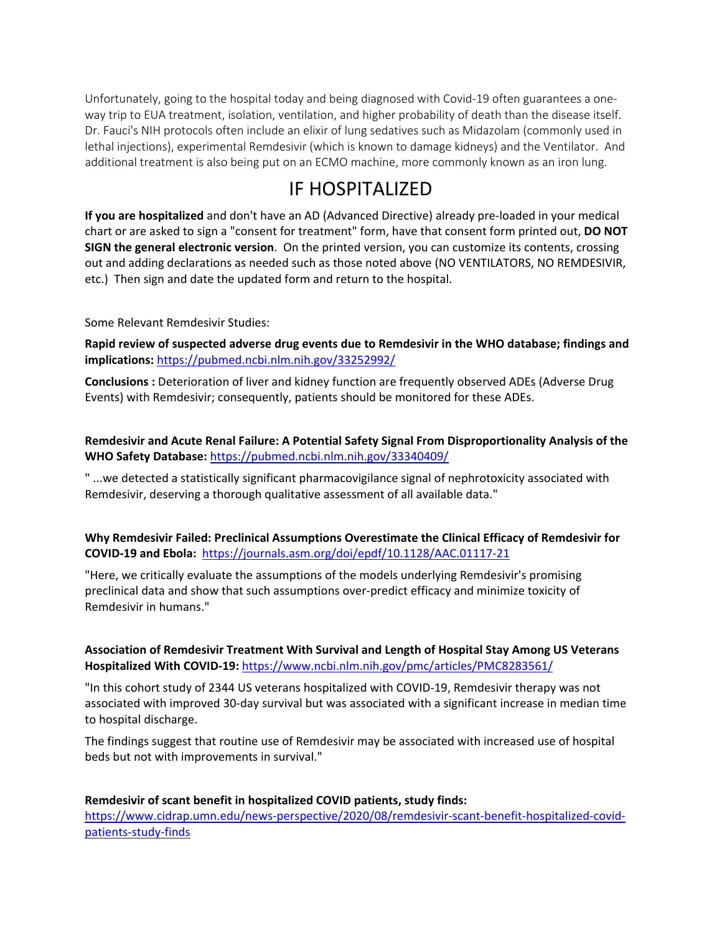Unfortunately, going to the hospital today and being diagnosed with Covid-19 often guarantees a oneway trip to EUA treatment, isolation, ventilation, and higher probability of death than the disease itself. Dr. Fauci's NIH protocols often include an elixir of lung sedatives such as Midazolam (commonly used in lethal injections), experimental Remdesivir (which is known to damage kidneys) and the Ventilator. And additional treatment is also being put on an ECMO machine, more commonly known as an iron lung.

# IF HOSPITALIZED

**If you are hospitalized** and don't have an AD (Advanced Directive) already pre-loaded in your medical chart or are asked to sign a "consent for treatment" form, have that consent form printed out, **DO NOT SIGN the general electronic version**. On the printed version, you can customize its contents, crossing out and adding declarations as needed such as those noted above (NO VENTILATORS, NO REMDESIVIR, etc.) Then sign and date the updated form and return to the hospital.

## Some Relevant Remdesivir Studies:

**Rapid review of suspected adverse drug events due to Remdesivir in the WHO database; findings and implications:** <https://pubmed.ncbi.nlm.nih.gov/33252992/>

**Conclusions :** Deterioration of liver and kidney function are frequently observed ADEs (Adverse Drug Events) with Remdesivir; consequently, patients should be monitored for these ADEs.

**Remdesivir and Acute Renal Failure: A Potential Safety Signal From Disproportionality Analysis of the WHO Safety Database:** <https://pubmed.ncbi.nlm.nih.gov/33340409/>

" ...we detected a statistically significant pharmacovigilance signal of nephrotoxicity associated with Remdesivir, deserving a thorough qualitative assessment of all available data."

**Why Remdesivir Failed: Preclinical Assumptions Overestimate the Clinical Efficacy of Remdesivir for COVID-19 and Ebola:** <https://journals.asm.org/doi/epdf/10.1128/AAC.01117-21>

"Here, we critically evaluate the assumptions of the models underlying Remdesivir's promising preclinical data and show that such assumptions over-predict efficacy and minimize toxicity of Remdesivir in humans."

## **Association of Remdesivir Treatment With Survival and Length of Hospital Stay Among US Veterans Hospitalized With COVID-19:** <https://www.ncbi.nlm.nih.gov/pmc/articles/PMC8283561/>

"In this cohort study of 2344 US veterans hospitalized with COVID-19, Remdesivir therapy was not associated with improved 30-day survival but was associated with a significant increase in median time to hospital discharge.

The findings suggest that routine use of Remdesivir may be associated with increased use of hospital beds but not with improvements in survival."

**Remdesivir of scant benefit in hospitalized COVID patients, study finds:** [https://www.cidrap.umn.edu/news-perspective/2020/08/remdesivir-scant-benefit-hospitalized-covid](https://www.cidrap.umn.edu/news-perspective/2020/08/remdesivir-scant-benefit-hospitalized-covid-patients-study-finds)[patients-study-finds](https://www.cidrap.umn.edu/news-perspective/2020/08/remdesivir-scant-benefit-hospitalized-covid-patients-study-finds)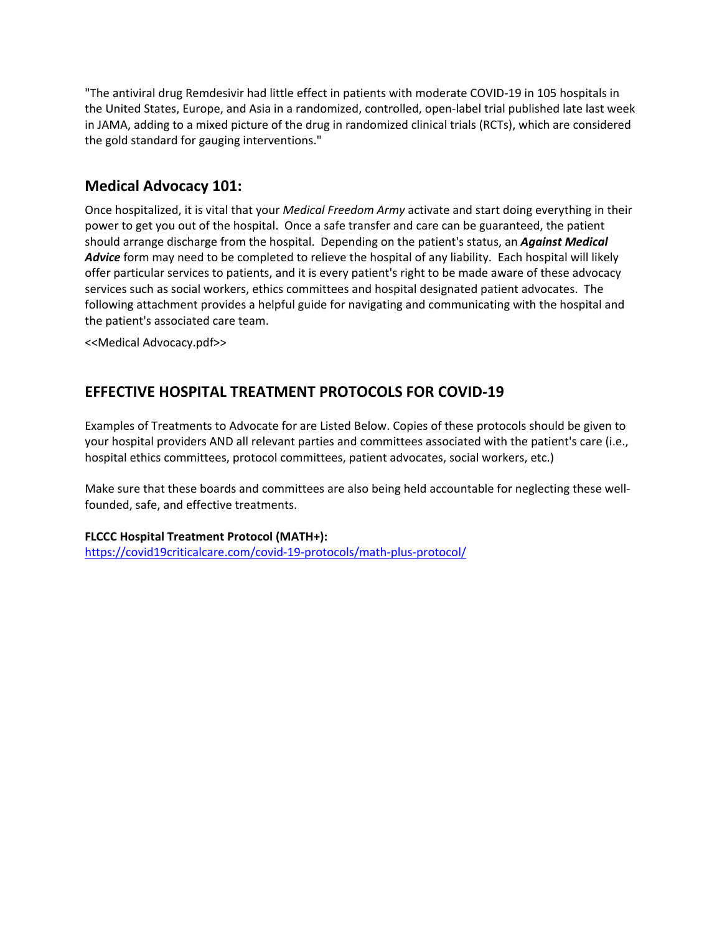"The antiviral drug Remdesivir had little effect in patients with moderate COVID-19 in 105 hospitals in the United States, Europe, and Asia in a randomized, controlled, open-label trial published late last week in JAMA, adding to a mixed picture of the drug in randomized clinical trials (RCTs), which are considered the gold standard for gauging interventions."

## **Medical Advocacy 101:**

Once hospitalized, it is vital that your *Medical Freedom Army* activate and start doing everything in their power to get you out of the hospital. Once a safe transfer and care can be guaranteed, the patient should arrange discharge from the hospital. Depending on the patient's status, an *Against Medical Advice* form may need to be completed to relieve the hospital of any liability. Each hospital will likely offer particular services to patients, and it is every patient's right to be made aware of these advocacy services such as social workers, ethics committees and hospital designated patient advocates. The following attachment provides a helpful guide for navigating and communicating with the hospital and the patient's associated care team.

<<Medical Advocacy.pdf>>

## **EFFECTIVE HOSPITAL TREATMENT PROTOCOLS FOR COVID-19**

Examples of Treatments to Advocate for are Listed Below. Copies of these protocols should be given to your hospital providers AND all relevant parties and committees associated with the patient's care (i.e., hospital ethics committees, protocol committees, patient advocates, social workers, etc.)

Make sure that these boards and committees are also being held accountable for neglecting these wellfounded, safe, and effective treatments.

## **FLCCC Hospital Treatment Protocol (MATH+):**

<https://covid19criticalcare.com/covid-19-protocols/math-plus-protocol/>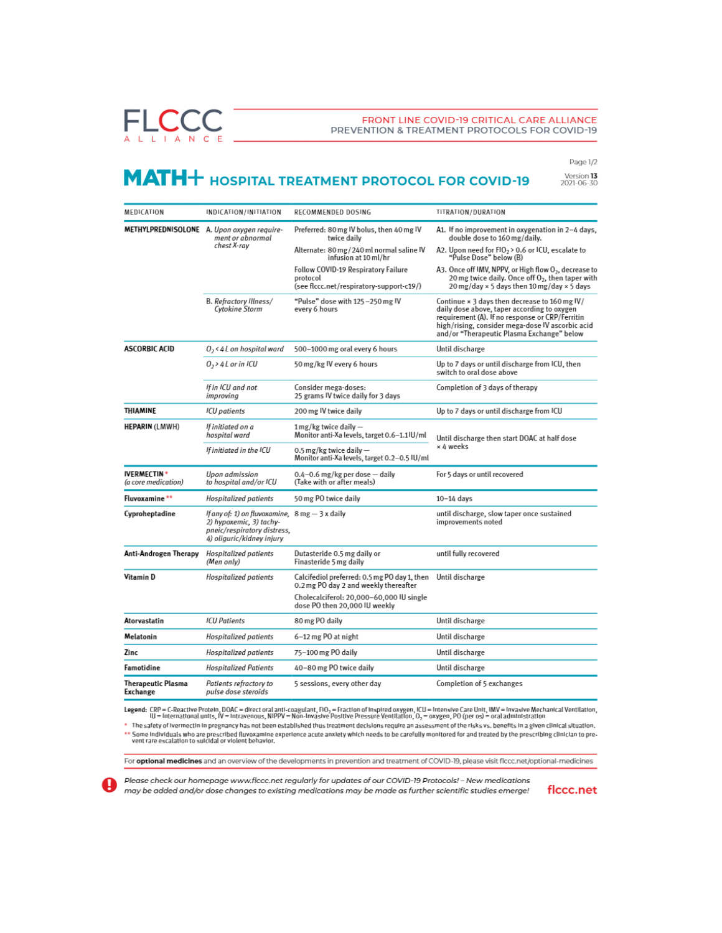**FLCCC** L L I A N C E

#### FRONT LINE COVID-19 CRITICAL CARE ALLIANCE PREVENTION & TREATMENT PROTOCOLS FOR COVID-19

Page 1/2

# MATH+ HOSPITAL TREATMENT PROTOCOL FOR COVID-19

Version 13<br>2021-06-30

| MEDICATION                                | INDICATION/INITIATION                                                                                                                                   | RECOMMENDED DOSING                                                                          | TITRATION/DURATION                                                                                                                                                                                                                                |  |
|-------------------------------------------|---------------------------------------------------------------------------------------------------------------------------------------------------------|---------------------------------------------------------------------------------------------|---------------------------------------------------------------------------------------------------------------------------------------------------------------------------------------------------------------------------------------------------|--|
|                                           | METHYLPREDNISOLONE A. Upon oxygen require-<br>ment or abnormal<br>chest X-ray                                                                           | Preferred: 80 mg IV bolus, then 40 mg IV<br>twice daily                                     | A1. If no improvement in oxygenation in 2-4 days,<br>double dose to 160 mg/daily.                                                                                                                                                                 |  |
|                                           |                                                                                                                                                         | Alternate: 80 mg / 240 ml normal saline IV<br>infusion at 10 ml/hr                          | A2. Upon need for FIO <sub>2</sub> > 0.6 or ICU, escalate to<br>"Pulse Dose" below (B)                                                                                                                                                            |  |
|                                           |                                                                                                                                                         | Follow COVID-19 Respiratory Failure<br>protocol<br>(see flccc.net/respiratory-support-c19/) | A3. Once off IMV, NPPV, or High flow O <sub>2</sub> , decrease to<br>20 mg twice daily. Once off O <sub>2</sub> , then taper with<br>20 mg/day × 5 days then 10 mg/day × 5 days                                                                   |  |
|                                           | B. Refractory Illness/<br><b>Cytokine Storm</b>                                                                                                         | "Pulse" dose with 125 -250 mg IV<br>every 6 hours                                           | Continue × 3 days then decrease to 160 mg IV/<br>daily dose above, taper according to oxygen<br>requirement (A). If no response or CRP/Ferritin<br>high/rising, consider mega-dose IV ascorbic acid<br>and/or "Therapeutic Plasma Exchange" below |  |
| <b>ASCORBIC ACID</b>                      | $0, 41$ on hospital ward                                                                                                                                | 500-1000 mg oral every 6 hours                                                              | Until discharge                                                                                                                                                                                                                                   |  |
|                                           | $0,$ > 4 L or in ICU                                                                                                                                    | 50 mg/kg IV every 6 hours                                                                   | Up to 7 days or until discharge from ICU, then<br>switch to oral dose above                                                                                                                                                                       |  |
|                                           | If in ICU and not<br>improving                                                                                                                          | Consider mega-doses:<br>25 grams IV twice daily for 3 days                                  | Completion of 3 days of therapy                                                                                                                                                                                                                   |  |
| THIAMINE                                  | <b>ICU</b> patients                                                                                                                                     | 200 mg IV twice daily                                                                       | Up to 7 days or until discharge from ICU                                                                                                                                                                                                          |  |
| <b>HEPARIN (LMWH)</b>                     | If initiated on a<br>hospital ward                                                                                                                      | $1$ mg/kg twice daily $-$<br>Monitor anti-Xa levels, target 0.6-1.1 IU/ml                   | Until discharge then start DOAC at half dose<br>× 4 weeks                                                                                                                                                                                         |  |
|                                           | If initiated in the ICU                                                                                                                                 | 0.5 mg/kg twice daily $-$<br>Monitor anti-Xa levels, target 0.2-0.5 IU/ml                   |                                                                                                                                                                                                                                                   |  |
| <b>IVERMECTIN*</b><br>(a core medication) | Upon admission<br>to hospital and/or ICU                                                                                                                | $0.4 - 0.6$ mg/kg per dose $-$ daily<br>(Take with or after meals)                          | For 5 days or until recovered                                                                                                                                                                                                                     |  |
| Fluvoxamine **                            | <b>Hospitalized patients</b>                                                                                                                            | 50 mg PO twice daily                                                                        | $10-14$ days                                                                                                                                                                                                                                      |  |
| Cyproheptadine                            | If any of: 1) on fluvoxamine, $8 \text{ mg} - 3 \text{ x}$ daily<br>2) hypoxemic, 3) tachy-<br>pneic/respiratory distress.<br>4) oliquric/kidney injury |                                                                                             | until discharge, slow taper once sustained<br>improvements noted                                                                                                                                                                                  |  |
| Anti-Androgen Therapy                     | <b>Hospitalized patients</b><br>(Men only)                                                                                                              | Dutasteride 0.5 mg daily or<br>Finasteride 5 mg daily                                       | until fully recovered                                                                                                                                                                                                                             |  |
| Vitamin D                                 | Hospitalized patients                                                                                                                                   | Calcifediol preferred: 0.5 mg PO day 1, then<br>0.2 mg PO day 2 and weekly thereafter       | Until discharge                                                                                                                                                                                                                                   |  |
|                                           |                                                                                                                                                         | Cholecalciferol: 20,000-60,000 IU single<br>dose PO then 20,000 IU weekly                   |                                                                                                                                                                                                                                                   |  |
| Atorvastatin                              | <b>ICU Patients</b>                                                                                                                                     | 80 mg PO daily                                                                              | Until discharge                                                                                                                                                                                                                                   |  |
| Melatonin                                 | <b>Hospitalized patients</b>                                                                                                                            | 6-12 mg PO at night                                                                         | Until discharge                                                                                                                                                                                                                                   |  |
| Zinc                                      | <b>Hospitalized patients</b>                                                                                                                            | 75-100 mg PO daily                                                                          | Until discharge                                                                                                                                                                                                                                   |  |
| Famotidine                                | <b>Hospitalized Patients</b>                                                                                                                            | 40-80 mg PO twice daily                                                                     | Until discharge                                                                                                                                                                                                                                   |  |
| <b>Therapeutic Plasma</b><br>Exchange     | Patients refractory to<br>pulse dose steroids                                                                                                           | 5 sessions, every other day                                                                 | Completion of 5 exchanges                                                                                                                                                                                                                         |  |

Legend: CRP = C-Reactive Protein, DOAC = direct oral anti-coagulant, FiO<sub>2</sub> = Fraction of inspired oxygen, ICU = Intensive Care Unit, IMV = Invasive Mechanical Ventilation,<br>IU = International units, IV = Intravenous, NIPP

some pregnancy nas not been established our set of the substitution. It are not set of the risks vs. Denetts in a given clinical situation.<br>Some individuals who are prescribed fluvoxamine experience acute anxiety which ne

For optional medicines and an overview of the developments in prevention and treatment of COVID-19, please visit flccc.net/optional-medicines

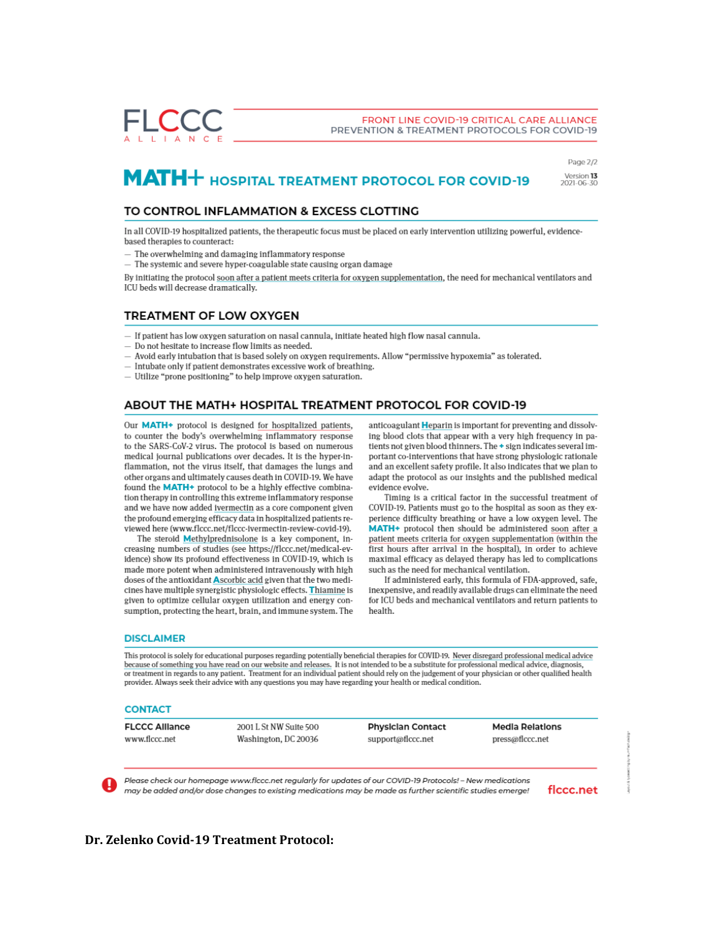#### FRONT LINE COVID-19 CRITICAL CARE ALLIANCE PREVENTION & TREATMENT PROTOCOLS FOR COVID-19

# MATH+ HOSPITAL TREATMENT PROTOCOL FOR COVID-19

Page 2/2 Version 13<br>2021-06-30

### TO CONTROL INFLAMMATION & EXCESS CLOTTING

In all COVID-19 hospitalized patients, the therapeutic focus must be placed on early intervention utilizing powerful, evidencebased therapies to counteract:

- The overwhelming and damaging inflammatory response

 $-$  The systemic and severe hyper-coagulable state causing organ damage

By initiating the protocol soon after a patient meets criteria for oxygen supplementation, the need for mechanical ventilators and ICU beds will decrease dramatically.

#### **TREATMENT OF LOW OXYGEN**

- $-$  If patient has low oxygen saturation on nasal cannula, initiate heated high flow nasal cannula.
- Do not hesitate to increase flow limits as needed.
- $-$  Avoid early intubation that is based solely on oxygen requirements. Allow "permissive hypoxemia" as tolerated.
- Intubate only if patient demonstrates excessive work of breathing.
- Utilize "prone positioning" to help improve oxygen saturation.

### **ABOUT THE MATH+ HOSPITAL TREATMENT PROTOCOL FOR COVID-19**

Our MATH+ protocol is designed for hospitalized patients, to counter the body's overwhelming inflammatory response to the SARS-CoV-2 virus. The protocol is based on numerous medical journal publications over decades. It is the hyper-inflammation, not the virus itself, that damages the lungs and other organs and ultimately causes death in COVID-19. We have found the MATH+ protocol to be a highly effective combination therapy in controlling this extreme inflammatory response and we have now added ivermectin as a core component given the profound emerging efficacy data in hospitalized patients reviewed here (www.flccc.net/flccc-ivermectin-review-covid-19).

The steroid Methylprednisolone is a key component, increasing numbers of studies (see https://flccc.net/medical-evidence) show its profound effectiveness in COVID-19, which is made more potent when administered intravenously with high doses of the antioxidant Ascorbic acid given that the two medicines have multiple synergistic physiologic effects. Thiamine is given to optimize cellular oxygen utilization and energy consumption, protecting the heart, brain, and immune system. The anticoagulant Heparin is important for preventing and dissolving blood clots that appear with a very high frequency in patients not given blood thinners. The + sign indicates several important co-interventions that have strong physiologic rationale and an excellent safety profile. It also indicates that we plan to adapt the protocol as our insights and the published medical evidence evolve.

Timing is a critical factor in the successful treatment of COVID-19. Patients must go to the hospital as soon as they experience difficulty breathing or have a low oxygen level. The MATH+ protocol then should be administered soon after a patient meets criteria for oxygen supplementation (within the first hours after arrival in the hospital), in order to achieve maximal efficacy as delayed therapy has led to complications such as the need for mechanical ventilation.

If administered early, this formula of FDA-approved, safe, inexpensive, and readily available drugs can eliminate the need for ICU beds and mechanical ventilators and return patients to health.

#### **DISCLAIMER**

This protocol is solely for educational purposes regarding potentially beneficial therapies for COVID-19. Never disregard professional medical advice because of something you have read on our website and releases. It is not intended to be a substitute for professional medical advice, diagnosi or treatment in regards to any patient. Treatment for an individual patient should rely on the judgement of your physician or other qualified health provider. Always seek their advice with any questions you may have regarding your health or medical condition.

#### **CONTACT**

**FLCCC Alliance** www.flccc.net

2001 L St NW Suite 500 Washington, DC 20036 **Physician Contact** support@flccc.net

**Media Relations** press@flccc.net

Please check our homepage www.flccc.net regularly for updates of our COVID-19 Protocols! - New medications may be added and/or dose changes to existing medications may be made as further scientific studies emerge!

flccc.net

Dr. Zelenko Covid-19 Treatment Protocol: